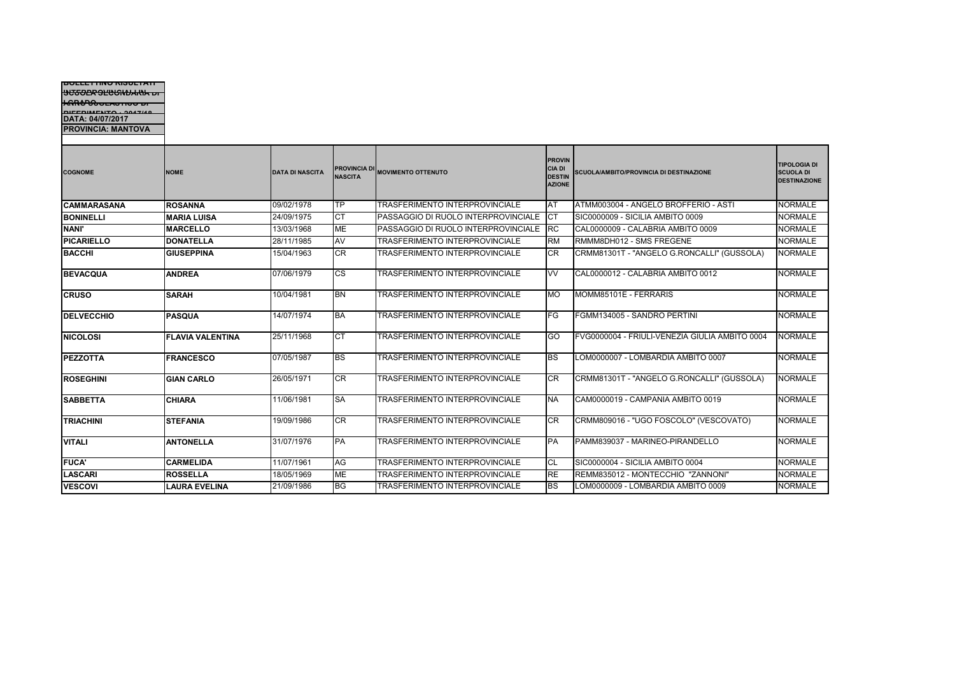| וט טאוושרוברים<br>DIFFOIAITNTO : 0047/40<br>DATA: 04/07/2017<br><b>PROVINCIA: MANTOVA</b> |                         |                        |                        |                                       |                                                                  |                                                |                                                                |
|-------------------------------------------------------------------------------------------|-------------------------|------------------------|------------------------|---------------------------------------|------------------------------------------------------------------|------------------------------------------------|----------------------------------------------------------------|
| <b>COGNOME</b>                                                                            | <b>NOME</b>             | <b>DATA DI NASCITA</b> | <b>NASCITA</b>         | PROVINCIA DI MOVIMENTO OTTENUTO       | <b>PROVIN</b><br><b>CIA DI</b><br><b>DESTIN</b><br><b>AZIONE</b> | <b>SCUOLA/AMBITO/PROVINCIA DI DESTINAZIONE</b> | <b>TIPOLOGIA DI</b><br><b>SCUOLA DI</b><br><b>DESTINAZIONE</b> |
| <b>CAMMARASANA</b>                                                                        | <b>ROSANNA</b>          | 09/02/1978             | TP                     | <b>TRASFERIMENTO INTERPROVINCIALE</b> | AT                                                               | ATMM003004 - ANGELO BROFFERIO - ASTI           | <b>NORMALE</b>                                                 |
| <b>BONINELLI</b>                                                                          | <b>MARIA LUISA</b>      | 24/09/1975             | <b>CT</b>              | PASSAGGIO DI RUOLO INTERPROVINCIALE   | <b>CT</b>                                                        | SIC0000009 - SICILIA AMBITO 0009               | <b>NORMALE</b>                                                 |
| <b>NANI'</b>                                                                              | <b>MARCELLO</b>         | 13/03/1968             | <b>ME</b>              | PASSAGGIO DI RUOLO INTERPROVINCIALE   | <b>RC</b>                                                        | CAL0000009 - CALABRIA AMBITO 0009              | <b>NORMALE</b>                                                 |
| <b>PICARIELLO</b>                                                                         | <b>DONATELLA</b>        | 28/11/1985             | AV                     | TRASFERIMENTO INTERPROVINCIALE        | <b>RM</b>                                                        | RMMM8DH012 - SMS FREGENE                       | <b>NORMALE</b>                                                 |
| <b>BACCHI</b>                                                                             | <b>GIUSEPPINA</b>       | 15/04/1963             | <b>CR</b>              | TRASFERIMENTO INTERPROVINCIALE        | CR                                                               | CRMM81301T - "ANGELO G.RONCALLI" (GUSSOLA)     | <b>NORMALE</b>                                                 |
| <b>BEVACQUA</b>                                                                           | <b>ANDREA</b>           | 07/06/1979             | $\overline{\text{cs}}$ | TRASFERIMENTO INTERPROVINCIALE        | W                                                                | CAL0000012 - CALABRIA AMBITO 0012              | <b>NORMALE</b>                                                 |
| <b>CRUSO</b>                                                                              | <b>SARAH</b>            | 10/04/1981             | <b>BN</b>              | TRASFERIMENTO INTERPROVINCIALE        | <b>MO</b>                                                        | MOMM85101E - FERRARIS                          | <b>NORMALE</b>                                                 |
| <b>DELVECCHIO</b>                                                                         | <b>PASQUA</b>           | 14/07/1974             | <b>BA</b>              | TRASFERIMENTO INTERPROVINCIALE        | FG                                                               | FGMM134005 - SANDRO PERTINI                    | <b>NORMALE</b>                                                 |
| <b>NICOLOSI</b>                                                                           | <b>FLAVIA VALENTINA</b> | 25/11/1968             | <b>CT</b>              | TRASFERIMENTO INTERPROVINCIALE        | GO                                                               | FVG0000004 - FRIULI-VENEZIA GIULIA AMBITO 0004 | <b>NORMALE</b>                                                 |
| <b>PEZZOTTA</b>                                                                           | <b>FRANCESCO</b>        | 07/05/1987             | BS                     | TRASFERIMENTO INTERPROVINCIALE        | BS                                                               | LOM0000007 - LOMBARDIA AMBITO 0007             | <b>NORMALE</b>                                                 |
| <b>ROSEGHINI</b>                                                                          | <b>GIAN CARLO</b>       | 26/05/1971             | <b>CR</b>              | TRASFERIMENTO INTERPROVINCIALE        | <b>CR</b>                                                        | CRMM81301T - "ANGELO G.RONCALLI" (GUSSOLA)     | <b>NORMALE</b>                                                 |
| <b>SABBETTA</b>                                                                           | <b>CHIARA</b>           | 11/06/1981             | <b>SA</b>              | TRASFERIMENTO INTERPROVINCIALE        | <b>NA</b>                                                        | CAM0000019 - CAMPANIA AMBITO 0019              | <b>NORMALE</b>                                                 |
| <b>TRIACHINI</b>                                                                          | <b>STEFANIA</b>         | 19/09/1986             | CR                     | TRASFERIMENTO INTERPROVINCIALE        | CR                                                               | CRMM809016 - "UGO FOSCOLO" (VESCOVATO)         | <b>NORMALE</b>                                                 |
| <b>VITALI</b>                                                                             | <b>ANTONELLA</b>        | 31/07/1976             | <b>PA</b>              | TRASFERIMENTO INTERPROVINCIALE        | <b>PA</b>                                                        | PAMM839037 - MARINEO-PIRANDELLO                | <b>NORMALE</b>                                                 |
| <b>FUCA'</b>                                                                              | <b>CARMELIDA</b>        | 11/07/1961             | AG                     | TRASFERIMENTO INTERPROVINCIALE        | <b>CL</b>                                                        | SIC0000004 - SICILIA AMBITO 0004               | <b>NORMALE</b>                                                 |
| <b>LASCARI</b>                                                                            | <b>ROSSELLA</b>         | 18/05/1969             | <b>ME</b>              | TRASFERIMENTO INTERPROVINCIALE        | <b>RE</b>                                                        | REMM835012 - MONTECCHIO "ZANNONI"              | <b>NORMALE</b>                                                 |
| <b>VESCOVI</b>                                                                            | <b>LAURA EVELINA</b>    | 21/09/1986             | <b>BG</b>              | TRASFERIMENTO INTERPROVINCIALE        | <b>BS</b>                                                        | LOM0000009 - LOMBARDIA AMBITO 0009             | <b>NORMALE</b>                                                 |

**BOLLETTINO RISULTATI INTERPROLUGATION DI I GRADO ANNO SCOLASTICO DI**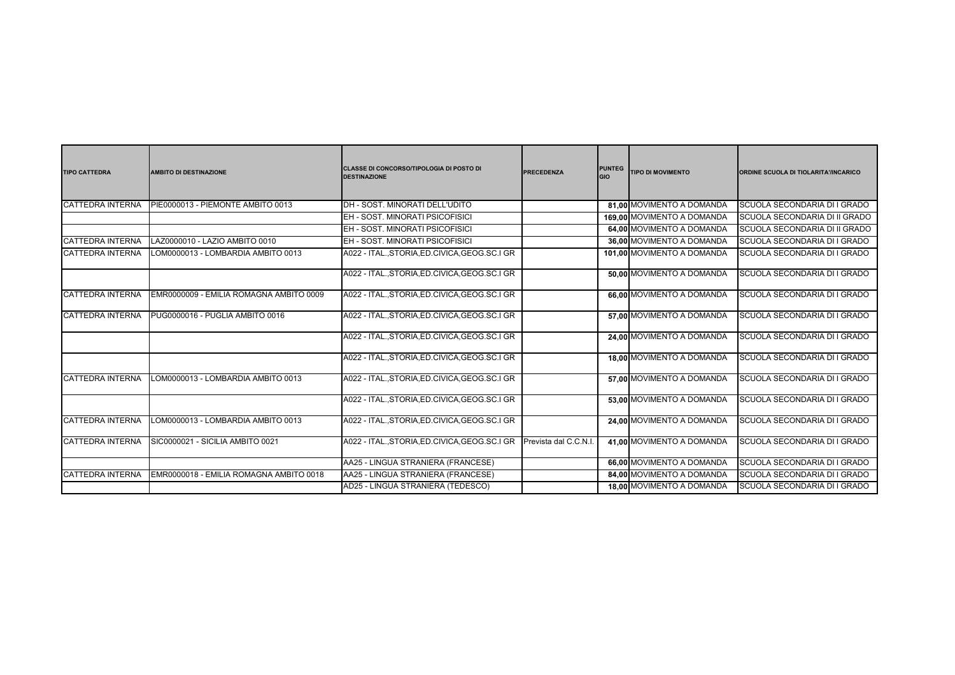| <b>TIPO CATTEDRA</b>    | <b>AMBITO DI DESTINAZIONE</b>           | CLASSE DI CONCORSO/TIPOLOGIA DI POSTO DI<br><b>DESTINAZIONE</b> | <b>PRECEDENZA</b>    | <b>PUNTEG</b><br><b>GIO</b> | <b>TIPO DI MOVIMENTO</b>   | ORDINE SCUOLA DI TIOLARITA'/INCARICO |
|-------------------------|-----------------------------------------|-----------------------------------------------------------------|----------------------|-----------------------------|----------------------------|--------------------------------------|
| <b>CATTEDRA INTERNA</b> | PIE0000013 - PIEMONTE AMBITO 0013       | DH - SOST, MINORATI DELL'UDITO                                  |                      |                             | 81.00 MOVIMENTO A DOMANDA  | SCUOLA SECONDARIA DI I GRADO         |
|                         |                                         | EH - SOST, MINORATI PSICOFISICI                                 |                      |                             | 169.00 MOVIMENTO A DOMANDA | SCUOLA SECONDARIA DI II GRADO        |
|                         |                                         | EH - SOST, MINORATI PSICOFISICI                                 |                      |                             | 64.00 MOVIMENTO A DOMANDA  | SCUOLA SECONDARIA DI II GRADO        |
| <b>CATTEDRA INTERNA</b> | LAZ0000010 - LAZIO AMBITO 0010          | EH - SOST, MINORATI PSICOFISICI                                 |                      |                             | 36.00 MOVIMENTO A DOMANDA  | SCUOLA SECONDARIA DI I GRADO         |
| <b>CATTEDRA INTERNA</b> | LOM0000013 - LOMBARDIA AMBITO 0013      | A022 - ITAL., STORIA, ED. CIVICA, GEOG. SC. I GR                |                      |                             | 101.00 MOVIMENTO A DOMANDA | SCUOLA SECONDARIA DI I GRADO         |
|                         |                                         | A022 - ITAL., STORIA, ED. CIVICA, GEOG. SC. I GR                |                      |                             | 50.00 MOVIMENTO A DOMANDA  | SCUOLA SECONDARIA DI I GRADO         |
| <b>CATTEDRA INTERNA</b> | EMR0000009 - EMILIA ROMAGNA AMBITO 0009 | A022 - ITAL., STORIA, ED. CIVICA, GEOG. SC. I GR                |                      |                             | 66,00 MOVIMENTO A DOMANDA  | SCUOLA SECONDARIA DI I GRADO         |
| <b>CATTEDRA INTERNA</b> | PUG0000016 - PUGLIA AMBITO 0016         | A022 - ITAL., STORIA, ED. CIVICA, GEOG. SC. I GR                |                      |                             | 57.00 MOVIMENTO A DOMANDA  | SCUOLA SECONDARIA DI I GRADO         |
|                         |                                         | A022 - ITAL., STORIA, ED. CIVICA, GEOG. SC. I GR                |                      |                             | 24.00 MOVIMENTO A DOMANDA  | SCUOLA SECONDARIA DI I GRADO         |
|                         |                                         | A022 - ITAL., STORIA, ED. CIVICA, GEOG. SC. I GR                |                      |                             | 18.00 MOVIMENTO A DOMANDA  | SCUOLA SECONDARIA DI I GRADO         |
| <b>CATTEDRA INTERNA</b> | LOM0000013 - LOMBARDIA AMBITO 0013      | A022 - ITAL., STORIA, ED. CIVICA, GEOG. SC. I GR                |                      |                             | 57.00 MOVIMENTO A DOMANDA  | SCUOLA SECONDARIA DI I GRADO         |
|                         |                                         | A022 - ITAL., STORIA, ED. CIVICA, GEOG. SC. I GR                |                      |                             | 53.00 MOVIMENTO A DOMANDA  | SCUOLA SECONDARIA DI I GRADO         |
| <b>CATTEDRA INTERNA</b> | LOM0000013 - LOMBARDIA AMBITO 0013      | A022 - ITAL., STORIA, ED. CIVICA, GEOG. SC. I GR                |                      |                             | 24.00 MOVIMENTO A DOMANDA  | SCUOLA SECONDARIA DI I GRADO         |
| <b>CATTEDRA INTERNA</b> | SIC0000021 - SICILIA AMBITO 0021        | A022 - ITAL., STORIA, ED. CIVICA, GEOG. SC. I GR                | Prevista dal C.C.N.I |                             | 41.00 MOVIMENTO A DOMANDA  | SCUOLA SECONDARIA DI I GRADO         |
|                         |                                         | AA25 - LINGUA STRANIERA (FRANCESE)                              |                      |                             | 66.00 MOVIMENTO A DOMANDA  | SCUOLA SECONDARIA DI I GRADO         |
| <b>CATTEDRA INTERNA</b> | EMR0000018 - EMILIA ROMAGNA AMBITO 0018 | AA25 - LINGUA STRANIERA (FRANCESE)                              |                      |                             | 84,00 MOVIMENTO A DOMANDA  | SCUOLA SECONDARIA DI I GRADO         |
|                         |                                         | AD25 - LINGUA STRANIERA (TEDESCO)                               |                      |                             | 18,00 MOVIMENTO A DOMANDA  | SCUOLA SECONDARIA DI I GRADO         |